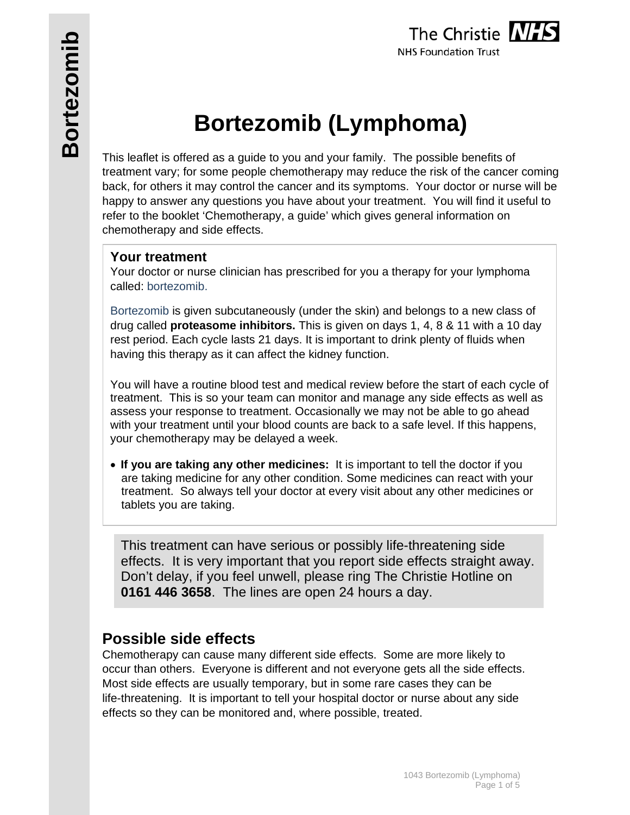# **Bortezomib (Lymphoma)**

This leaflet is offered as a guide to you and your family. The possible benefits of treatment vary; for some people chemotherapy may reduce the risk of the cancer coming back, for others it may control the cancer and its symptoms. Your doctor or nurse will be happy to answer any questions you have about your treatment. You will find it useful to refer to the booklet 'Chemotherapy, a guide' which gives general information on chemotherapy and side effects.

### **Your treatment**

Your doctor or nurse clinician has prescribed for you a therapy for your lymphoma called: bortezomib.

Bortezomib is given subcutaneously (under the skin) and belongs to a new class of drug called **proteasome inhibitors.** This is given on days 1, 4, 8 & 11 with a 10 day rest period. Each cycle lasts 21 days. It is important to drink plenty of fluids when having this therapy as it can affect the kidney function.

You will have a routine blood test and medical review before the start of each cycle of treatment. This is so your team can monitor and manage any side effects as well as assess your response to treatment. Occasionally we may not be able to go ahead with your treatment until your blood counts are back to a safe level. If this happens, your chemotherapy may be delayed a week.

 **If you are taking any other medicines:** It is important to tell the doctor if you are taking medicine for any other condition. Some medicines can react with your treatment. So always tell your doctor at every visit about any other medicines or tablets you are taking.

This treatment can have serious or possibly life-threatening side effects. It is very important that you report side effects straight away. Don't delay, if you feel unwell, please ring The Christie Hotline on **0161 446 3658**. The lines are open 24 hours a day.

# **Possible side effects**

Chemotherapy can cause many different side effects. Some are more likely to occur than others. Everyone is different and not everyone gets all the side effects. Most side effects are usually temporary, but in some rare cases they can be life-threatening. It is important to tell your hospital doctor or nurse about any side effects so they can be monitored and, where possible, treated.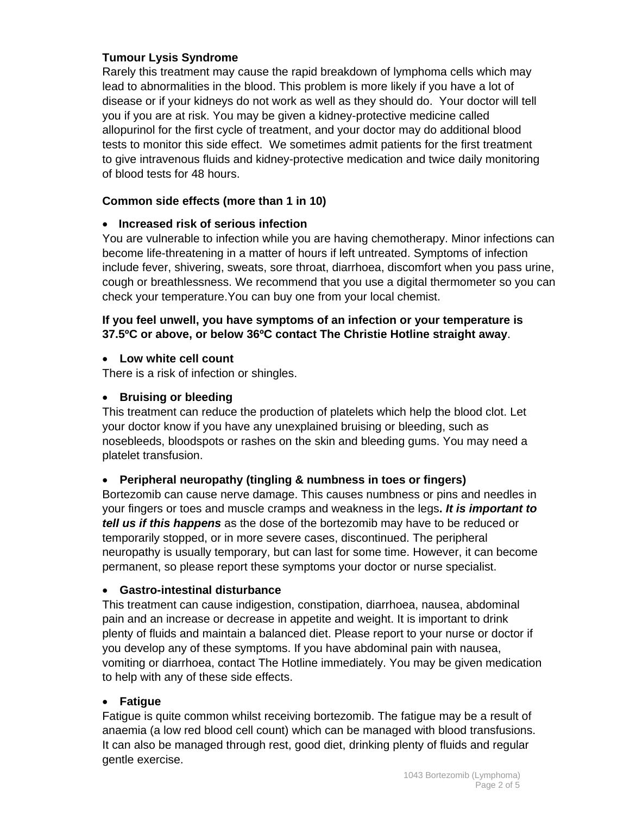#### **Tumour Lysis Syndrome**

Rarely this treatment may cause the rapid breakdown of lymphoma cells which may lead to abnormalities in the blood. This problem is more likely if you have a lot of disease or if your kidneys do not work as well as they should do. Your doctor will tell you if you are at risk. You may be given a kidney-protective medicine called allopurinol for the first cycle of treatment, and your doctor may do additional blood tests to monitor this side effect. We sometimes admit patients for the first treatment to give intravenous fluids and kidney-protective medication and twice daily monitoring of blood tests for 48 hours.

#### **Common side effects (more than 1 in 10)**

#### **Increased risk of serious infection**

You are vulnerable to infection while you are having chemotherapy. Minor infections can become life-threatening in a matter of hours if left untreated. Symptoms of infection include fever, shivering, sweats, sore throat, diarrhoea, discomfort when you pass urine, cough or breathlessness. We recommend that you use a digital thermometer so you can check your temperature.You can buy one from your local chemist.

#### **If you feel unwell, you have symptoms of an infection or your temperature is 37.5ºC or above, or below 36ºC contact The Christie Hotline straight away**.

#### **Low white cell count**

There is a risk of infection or shingles.

#### **•** Bruising or bleeding

This treatment can reduce the production of platelets which help the blood clot. Let your doctor know if you have any unexplained bruising or bleeding, such as nosebleeds, bloodspots or rashes on the skin and bleeding gums. You may need a platelet transfusion.

#### **Peripheral neuropathy (tingling & numbness in toes or fingers)**

Bortezomib can cause nerve damage. This causes numbness or pins and needles in your fingers or toes and muscle cramps and weakness in the legs**.** *It is important to tell us if this happens* as the dose of the bortezomib may have to be reduced or temporarily stopped, or in more severe cases, discontinued. The peripheral neuropathy is usually temporary, but can last for some time. However, it can become permanent, so please report these symptoms your doctor or nurse specialist.

#### **Gastro-intestinal disturbance**

This treatment can cause indigestion, constipation, diarrhoea, nausea, abdominal pain and an increase or decrease in appetite and weight. It is important to drink plenty of fluids and maintain a balanced diet. Please report to your nurse or doctor if you develop any of these symptoms. If you have abdominal pain with nausea, vomiting or diarrhoea, contact The Hotline immediately. You may be given medication to help with any of these side effects.

#### **Fatigue**

Fatigue is quite common whilst receiving bortezomib. The fatigue may be a result of anaemia (a low red blood cell count) which can be managed with blood transfusions. It can also be managed through rest, good diet, drinking plenty of fluids and regular gentle exercise.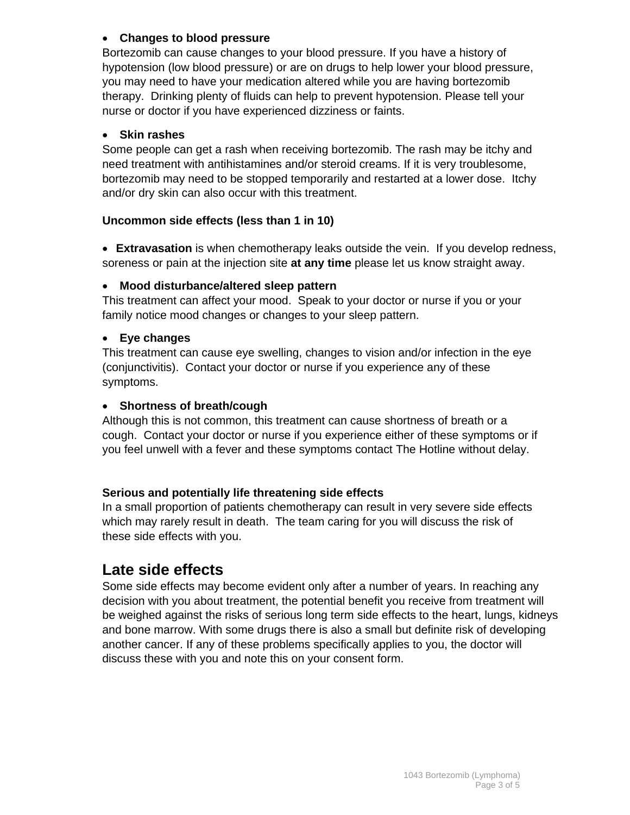#### **Changes to blood pressure**

Bortezomib can cause changes to your blood pressure. If you have a history of hypotension (low blood pressure) or are on drugs to help lower your blood pressure, you may need to have your medication altered while you are having bortezomib therapy. Drinking plenty of fluids can help to prevent hypotension. Please tell your nurse or doctor if you have experienced dizziness or faints.

#### **Skin rashes**

Some people can get a rash when receiving bortezomib. The rash may be itchy and need treatment with antihistamines and/or steroid creams. If it is very troublesome, bortezomib may need to be stopped temporarily and restarted at a lower dose. Itchy and/or dry skin can also occur with this treatment.

#### **Uncommon side effects (less than 1 in 10)**

 **Extravasation** is when chemotherapy leaks outside the vein. If you develop redness, soreness or pain at the injection site **at any time** please let us know straight away.

#### **Mood disturbance/altered sleep pattern**

This treatment can affect your mood. Speak to your doctor or nurse if you or your family notice mood changes or changes to your sleep pattern.

#### **Eye changes**

This treatment can cause eye swelling, changes to vision and/or infection in the eye (conjunctivitis). Contact your doctor or nurse if you experience any of these symptoms.

#### **Shortness of breath/cough**

Although this is not common, this treatment can cause shortness of breath or a cough. Contact your doctor or nurse if you experience either of these symptoms or if you feel unwell with a fever and these symptoms contact The Hotline without delay.

#### **Serious and potentially life threatening side effects**

In a small proportion of patients chemotherapy can result in very severe side effects which may rarely result in death. The team caring for you will discuss the risk of these side effects with you.

# **Late side effects**

Some side effects may become evident only after a number of years. In reaching any decision with you about treatment, the potential benefit you receive from treatment will be weighed against the risks of serious long term side effects to the heart, lungs, kidneys and bone marrow. With some drugs there is also a small but definite risk of developing another cancer. If any of these problems specifically applies to you, the doctor will discuss these with you and note this on your consent form.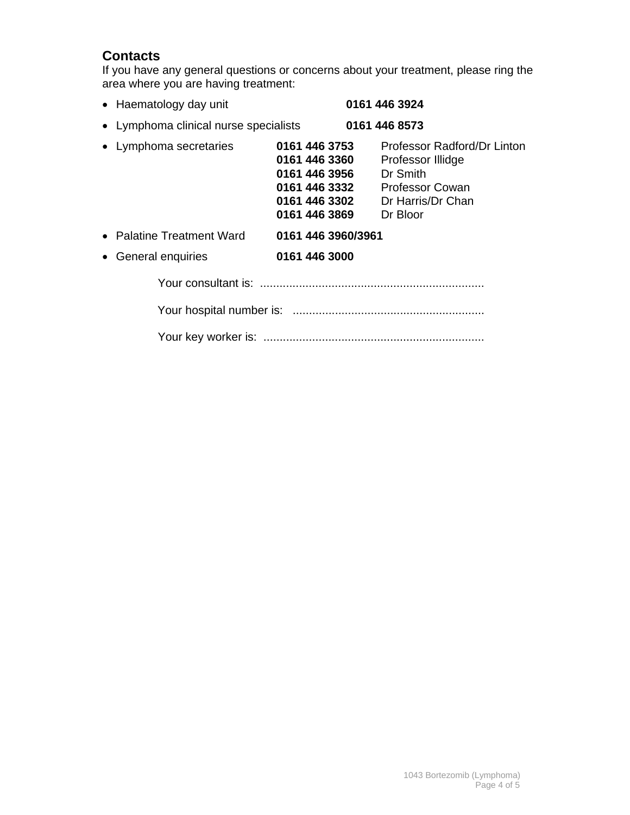## **Contacts**

If you have any general questions or concerns about your treatment, please ring the area where you are having treatment:

| • Haematology day unit                |                                                                                                    | 0161 446 3924                                                                                                           |
|---------------------------------------|----------------------------------------------------------------------------------------------------|-------------------------------------------------------------------------------------------------------------------------|
| • Lymphoma clinical nurse specialists |                                                                                                    | 0161 446 8573                                                                                                           |
| • Lymphoma secretaries                | 0161 446 3753<br>0161 446 3360<br>0161 446 3956<br>0161 446 3332<br>0161 446 3302<br>0161 446 3869 | Professor Radford/Dr Linton<br>Professor Illidge<br>Dr Smith<br><b>Professor Cowan</b><br>Dr Harris/Dr Chan<br>Dr Bloor |
| • Palatine Treatment Ward             | 0161 446 3960/3961                                                                                 |                                                                                                                         |
| General enquiries                     | 0161 446 3000                                                                                      |                                                                                                                         |
|                                       |                                                                                                    |                                                                                                                         |
|                                       |                                                                                                    |                                                                                                                         |